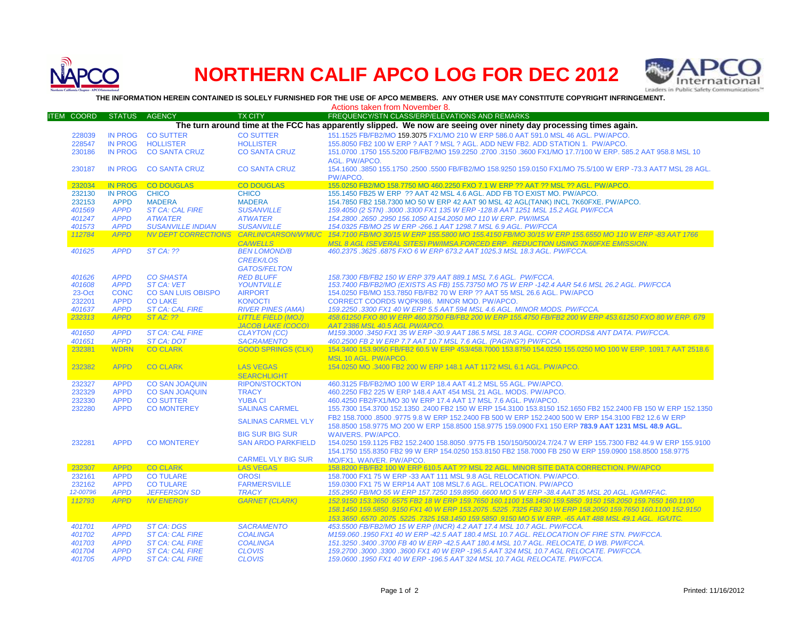

## **NORTHERN CALIF APCO LOG FOR DEC 2012**



**THE INFORMATION HEREIN CONTAINED IS SOLELY FURNISHED FOR THE USE OF APCO MEMBERS. ANY OTHER USE MAY CONSTITUTE COPYRIGHT INFRINGEMENT.**

|                                                                                                                   |                    |                            |                                         |                                                       | Actions taken from November 8.                                                                                                                                                                             |  |  |  |
|-------------------------------------------------------------------------------------------------------------------|--------------------|----------------------------|-----------------------------------------|-------------------------------------------------------|------------------------------------------------------------------------------------------------------------------------------------------------------------------------------------------------------------|--|--|--|
|                                                                                                                   | <b>ITEM COORD</b>  | <b>STATUS</b>              | <b>AGENCY</b>                           | <b>TX CITY</b>                                        | FREQUENCY/STN CLASS/ERP/ELEVATIONS AND REMARKS                                                                                                                                                             |  |  |  |
| The turn around time at the FCC has apparently slipped. We now are seeing over ninety day processing times again. |                    |                            |                                         |                                                       |                                                                                                                                                                                                            |  |  |  |
|                                                                                                                   | 228039             | <b>IN PROG</b>             | <b>CO SUTTER</b>                        | <b>CO SUTTER</b>                                      | 151.1525 FB/FB2/MO 159.3075 FX1/MO 210 W ERP 586.0 AAT 591.0 MSL 46 AGL. PW/APCO.                                                                                                                          |  |  |  |
|                                                                                                                   | 228547             | <b>IN PROG</b>             | <b>HOLLISTER</b>                        | <b>HOLLISTER</b>                                      | 155,8050 FB2 100 W ERP ? AAT ? MSL ? AGL, ADD NEW FB2, ADD STATION 1, PW/APCO,                                                                                                                             |  |  |  |
|                                                                                                                   | 230186             | <b>IN PROG</b>             | <b>CO SANTA CRUZ</b>                    | <b>CO SANTA CRUZ</b>                                  | 151.0700 .1750 155.5200 FB/FB2/MO 159.2250 .2700 .3150 .3600 FX1/MO 17.7/100 W ERP. 585.2 AAT 958.8 MSL 10                                                                                                 |  |  |  |
|                                                                                                                   |                    |                            |                                         |                                                       | <b>AGL. PW/APCO.</b>                                                                                                                                                                                       |  |  |  |
|                                                                                                                   | 230187             | <b>IN PROG</b>             | <b>CO SANTA CRUZ</b>                    | <b>CO SANTA CRUZ</b>                                  | 154.1600 .3850 155.1750 .2500 .5500 FB/FB2/MO 158.9250 159.0150 FX1/MO 75.5/100 W ERP -73.3 AAT7 MSL 28 AGL.<br>PW/APCO.                                                                                   |  |  |  |
|                                                                                                                   | 232034             | <b>IN PROG</b>             | <b>CO DOUGLAS</b>                       | <b>CO DOUGLAS</b>                                     | 155.0250 FB2/MO 158.7750 MO 460.2250 FXO 7.1 W ERP ?? AAT ?? MSL ?? AGL. PW/APCO.                                                                                                                          |  |  |  |
|                                                                                                                   | 232130             | <b>IN PROG</b>             | <b>CHICO</b>                            | <b>CHICO</b>                                          | 155.1450 FB25 W ERP ?? AAT 42 MSL 4.6 AGL. ADD FB TO EXIST MO. PW/APCO.                                                                                                                                    |  |  |  |
|                                                                                                                   | 232153             | <b>APPD</b>                | <b>MADERA</b>                           | <b>MADERA</b>                                         | 154.7850 FB2 158.7300 MO 50 W ERP 42 AAT 90 MSL 42 AGL(TANK) INCL 7K60FXE. PW/APCO.                                                                                                                        |  |  |  |
|                                                                                                                   | 401569             | <b>APPD</b>                | <b>ST CA: CAL FIRE</b>                  | <b>SUSANVILLE</b>                                     | 159.4050 (2 STN) .3000 .3300 FX1 135 W ERP -128.8 AAT 1251 MSL 15.2 AGL PW/FCCA                                                                                                                            |  |  |  |
|                                                                                                                   | 401247             | <b>APPD</b>                | <b>ATWATER</b>                          | <b>ATWATER</b>                                        | 154.2800 .2650 .2950 156.1050 A154.2050 MO 110 W ERP. PW/IMSA                                                                                                                                              |  |  |  |
|                                                                                                                   | 401573             | <b>APPD</b>                | <b>SUSANVILLE INDIAN</b>                | <b>SUSANVILLE</b>                                     | 154.0325 FB/MO 25 W ERP - 266.1 AAT 1298.7 MSL 6.9 AGL. PW/FCCA                                                                                                                                            |  |  |  |
|                                                                                                                   | 112784             | <b>APPD</b>                | <b>NV DEPT CORRECTIONS</b>              | <b>CARLIN/CARSON/W'MUC</b><br><b>CA/WELLS</b>         | 154.7100 FB/MO 30/15 W ERP 155.5800 MO 155.4150 FB/MO 30/15 W ERP 155.6550 MO 110 W ERP -83 AAT 1766<br>MSL 8 AGL (SEVERAL SITES) PW/IMSA.FORCED ERP. REDUCTION USING 7K60FXE EMISSION.                    |  |  |  |
|                                                                                                                   | 401625             | <b>APPD</b>                | <b>ST CA: ??</b>                        | <b>BEN LOMOND/B</b>                                   | 460.2375.3625.6875 FXO 6 W ERP 673.2 AAT 1025.3 MSL 18.3 AGL. PW/FCCA.                                                                                                                                     |  |  |  |
|                                                                                                                   |                    |                            |                                         | <b>CREEK/LOS</b>                                      |                                                                                                                                                                                                            |  |  |  |
|                                                                                                                   |                    |                            |                                         | <b>GATOS/FELTON</b>                                   |                                                                                                                                                                                                            |  |  |  |
|                                                                                                                   | 401626             | <b>APPD</b>                | <b>CO SHASTA</b>                        | <b>RED BLUFF</b>                                      | 158.7300 FB/FB2 150 W ERP 379 AAT 889.1 MSL 7.6 AGL. PW/FCCA.                                                                                                                                              |  |  |  |
|                                                                                                                   | 401608             | <b>APPD</b>                | <b>ST CA: VET</b>                       | <b>YOUNTVILLE</b>                                     | 153.7400 FB/FB2/MO (EXISTS AS FB) 155.73750 MO 75 W ERP -142.4 AAR 54.6 MSL 26.2 AGL. PW/FCCA                                                                                                              |  |  |  |
|                                                                                                                   | 23-Oct             | <b>CONC</b>                | <b>CO SAN LUIS OBISPO</b>               | <b>AIRPORT</b>                                        | 154.0250 FB/MO 153.7850 FB/FB2 70 W ERP ?? AAT 55 MSL 26.6 AGL. PW/APCO                                                                                                                                    |  |  |  |
|                                                                                                                   | 232201             | <b>APPD</b>                | <b>CO LAKE</b>                          | <b>KONOCTI</b>                                        | CORRECT COORDS WQPK986. MINOR MOD. PW/APCO.                                                                                                                                                                |  |  |  |
|                                                                                                                   | 401637             | <b>APPD</b>                | <b>ST CA: CAL FIRE</b>                  | <b>RIVER PINES (AMA)</b>                              | 159.2250.3300 FX1 40 W ERP 5.5 AAT 594 MSL 4.6 AGL. MINOR MODS. PW/FCCA.                                                                                                                                   |  |  |  |
|                                                                                                                   | 232313             | <b>APPD</b>                | ST AZ: ??                               | <b>LITTLE FIELD (MOJ)</b><br><b>JACOB LAKE (COCO)</b> | 458.61250 FXO 80 W ERP 460.3750 FB/FB2 200 W ERP 155.4750 FB/FB2 200 W ERP 453.61250 FXO 80 W ERP, 679<br>AAT 2386 MSL 40.5 AGL PW/APCO.                                                                   |  |  |  |
|                                                                                                                   | 401650             | <b>APPD</b>                | <b>ST CA: CAL FIRE</b>                  | <b>CLAYTON (CC)</b>                                   | M159.3000 .3450 FX1 35 W ERP -30.9 AAT 186.5 MSL 18.3 AGL. CORR COORDS& ANT DATA. PW/FCCA.                                                                                                                 |  |  |  |
|                                                                                                                   | 401651             | <b>APPD</b>                | <b>ST CA: DOT</b>                       | <b>SACRAMENTO</b>                                     | 460.2500 FB 2 W ERP 7.7 AAT 10.7 MSL 7.6 AGL. (PAGING?) PW/FCCA.                                                                                                                                           |  |  |  |
|                                                                                                                   | 232381             | <b>WDRN</b>                | <b>CO CLARK</b>                         | <b>GOOD SPRINGS (CLK)</b>                             | 154.3400 153.9050 FB/FB2 60.5 W ERP 453/458.7000 153.8750 154.0250 155.0250 MO 100 W ERP. 1091.7 AAT 2518.6                                                                                                |  |  |  |
|                                                                                                                   |                    |                            |                                         |                                                       | MSL 10 AGL. PW/APCO.                                                                                                                                                                                       |  |  |  |
|                                                                                                                   | 232382             | <b>APPD</b>                | <b>CO CLARK</b>                         | <b>LAS VEGAS</b>                                      | 154,0250 MO .3400 FB2 200 W ERP 148.1 AAT 1172 MSL 6.1 AGL, PW/APCO                                                                                                                                        |  |  |  |
|                                                                                                                   |                    |                            |                                         | <b>SEARCHLIGHT</b>                                    |                                                                                                                                                                                                            |  |  |  |
|                                                                                                                   | 232327             | <b>APPD</b>                | <b>CO SAN JOAQUIN</b>                   | <b>RIPON/STOCKTON</b>                                 | 460.3125 FB/FB2/MO 100 W ERP 18.4 AAT 41.2 MSL 55 AGL, PW/APCO.                                                                                                                                            |  |  |  |
|                                                                                                                   | 232329             | <b>APPD</b>                | <b>CO SAN JOAQUIN</b>                   | <b>TRACY</b>                                          | 460.2250 FB2 225 W ERP 148.4 AAT 454 MSL 21 AGL. MODS. PW/APCO.                                                                                                                                            |  |  |  |
|                                                                                                                   | 232330<br>232280   | <b>APPD</b><br><b>APPD</b> | <b>CO SUTTER</b><br><b>CO MONTEREY</b>  | <b>YUBA CI</b><br><b>SALINAS CARMEL</b>               | 460.4250 FB2/FX1/MO 30 W ERP 17.4 AAT 17 MSL 7.6 AGL, PW/APCO.<br>155.7300 154.3700 152.1350 .2400 FB2 150 W ERP 154.3100 153.8150 152.1650 FB2 152.2400 FB 150 W ERP 152.1350                             |  |  |  |
|                                                                                                                   |                    |                            |                                         |                                                       | FB2 158.7000 .8500 .9775 9.8 W ERP 152.2400 FB 500 W ERP 152.2400 500 W ERP 154.3100 FB2 12.6 W ERP                                                                                                        |  |  |  |
|                                                                                                                   |                    |                            |                                         | <b>SALINAS CARMEL VLY</b>                             | 158.8500 158.9775 MO 200 W ERP 158.8500 158.9775 159.0900 FX1 150 ERP 783.9 AAT 1231 MSL 48.9 AGL.                                                                                                         |  |  |  |
|                                                                                                                   |                    |                            |                                         | <b>BIG SUR BIG SUR</b>                                | <b>WAIVERS, PW/APCO.</b>                                                                                                                                                                                   |  |  |  |
|                                                                                                                   | 232281             | <b>APPD</b>                | <b>CO MONTEREY</b>                      | <b>SAN ARDO PARKFIELD</b>                             | 154.0250 159.1125 FB2 152.2400 158.8050 .9775 FB 150/150/500/24.7/24.7 W ERP 155.7300 FB2 44.9 W ERP 155.9100                                                                                              |  |  |  |
|                                                                                                                   |                    |                            |                                         |                                                       | 154.1750 155.8350 FB2 99 W ERP 154.0250 153.8150 FB2 158.7000 FB 250 W ERP 159.0900 158.8500 158.9775                                                                                                      |  |  |  |
|                                                                                                                   |                    |                            |                                         | <b>CARMEL VLY BIG SUR</b>                             | MO/FX1. WAIVER. PW/APCO.                                                                                                                                                                                   |  |  |  |
|                                                                                                                   | 232307             | <b>APPD</b>                | <b>CO CLARK</b>                         | <b>LAS VEGAS</b>                                      | 158.8200 FB/FB2 100 W ERP 610.5 AAT ?? MSL 22 AGL. MINOR SITE DATA CORRECTION. PW/APCO                                                                                                                     |  |  |  |
|                                                                                                                   | 232161             | <b>APPD</b>                | <b>CO TULARE</b>                        | <b>OROSI</b>                                          | 158.7000 FX1 75 W ERP -33 AAT 111 MSL 9.8 AGL RELOCATION. PW/APCO.                                                                                                                                         |  |  |  |
|                                                                                                                   | 232162             | <b>APPD</b>                | <b>CO TULARE</b>                        | <b>FARMERSVILLE</b>                                   | 159.0300 FX1 75 W ERP14 AAT 108 MSL7.6 AGL. RELOCATION. PW/APCO                                                                                                                                            |  |  |  |
|                                                                                                                   | 12-00796<br>112793 | <b>APPD</b><br><b>APPD</b> | <b>JEFFERSON SD</b><br><b>NV ENERGY</b> | <b>TRACY</b><br><b>GARNET (CLARK)</b>                 | 155.2950 FB/MO 55 W ERP 157.7250 159.8950 .6600 MO 5 W ERP -38.4 AAT 35 MSL 20 AGL. IG/MRFAC.<br>152.9150 153.3650 .6575 FB2 18 W ERP 159.7650 160.1100 158.1450 159.5850 .9150 158.2050 159.7650 160.1100 |  |  |  |
|                                                                                                                   |                    |                            |                                         |                                                       | 158.1450 159.5850 .9150 FX1 40 W ERP 153.2075 .5225 .7325 FB2 30 W ERP 158.2050 159.7650 160.1100 152.9150                                                                                                 |  |  |  |
|                                                                                                                   |                    |                            |                                         |                                                       | 153.3650 .6570 .2075 .5225 .7325 158 1450 159.5850 .9150 MO 5 W ERP. -65 AAT 488 MSL 49.1 AGL. IG/UTC.                                                                                                     |  |  |  |
|                                                                                                                   | 401701             | <b>APPD</b>                | <b>ST CA: DGS</b>                       | <b>SACRAMENTO</b>                                     | 453.5500 FB/FB2/MO 15 W ERP (INCR) 4.2 AAT 17.4 MSL 10.7 AGL. PW/FCCA.                                                                                                                                     |  |  |  |
|                                                                                                                   | 401702             | <b>APPD</b>                | <b>ST CA: CAL FIRE</b>                  | <b>COALINGA</b>                                       | M159.060 .1950 FX1 40 W ERP -42.5 AAT 180.4 MSL 10.7 AGL. RELOCATION OF FIRE STN. PW/FCCA.                                                                                                                 |  |  |  |
|                                                                                                                   | 401703             | <b>APPD</b>                | <b>ST CA: CAL FIRE</b>                  | <b>COALINGA</b>                                       | 151.3250 .3400 .3700 FB 40 W ERP -42.5 AAT 180.4 MSL 10.7 AGL. RELOCATE, D WB. PW/FCCA.                                                                                                                    |  |  |  |
|                                                                                                                   | 401704             | <b>APPD</b>                | <b>ST CA: CAL FIRE</b>                  | <b>CLOVIS</b>                                         | 159.2700 .3000 .3300 .3600 FX1 40 W ERP -196.5 AAT 324 MSL 10.7 AGL RELOCATE. PW/FCCA.                                                                                                                     |  |  |  |
|                                                                                                                   | 401705             | <b>APPD</b>                | <b>ST CA: CAL FIRE</b>                  | <b>CLOVIS</b>                                         | 159.0600.1950 FX1 40 W ERP -196.5 AAT 324 MSL 10.7 AGL RELOCATE. PW/FCCA.                                                                                                                                  |  |  |  |